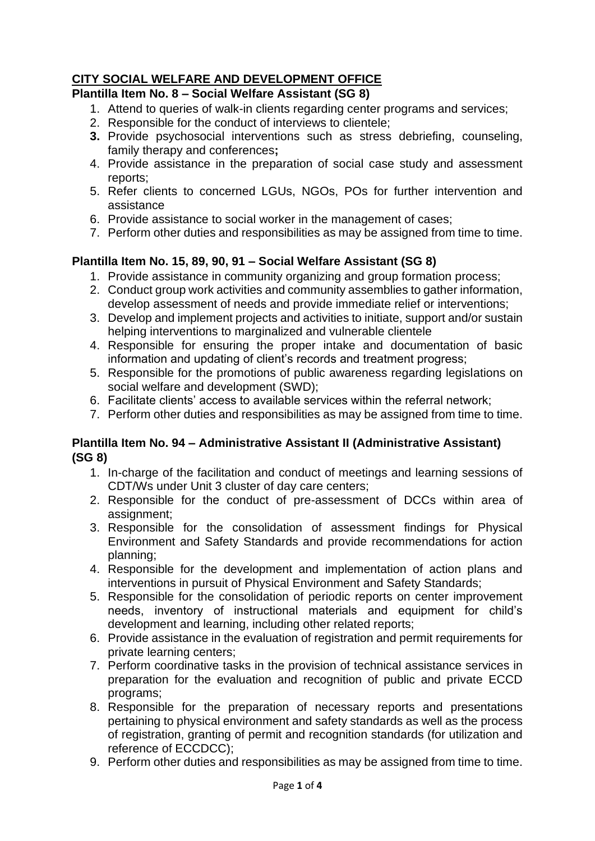# **CITY SOCIAL WELFARE AND DEVELOPMENT OFFICE**

## **Plantilla Item No. 8 – Social Welfare Assistant (SG 8)**

- 1. Attend to queries of walk-in clients regarding center programs and services;
- 2. Responsible for the conduct of interviews to clientele;
- **3.** Provide psychosocial interventions such as stress debriefing, counseling, family therapy and conferences**;**
- 4. Provide assistance in the preparation of social case study and assessment reports;
- 5. Refer clients to concerned LGUs, NGOs, POs for further intervention and assistance
- 6. Provide assistance to social worker in the management of cases;
- 7. Perform other duties and responsibilities as may be assigned from time to time.

## **Plantilla Item No. 15, 89, 90, 91 – Social Welfare Assistant (SG 8)**

- 1. Provide assistance in community organizing and group formation process;
- 2. Conduct group work activities and community assemblies to gather information, develop assessment of needs and provide immediate relief or interventions;
- 3. Develop and implement projects and activities to initiate, support and/or sustain helping interventions to marginalized and vulnerable clientele
- 4. Responsible for ensuring the proper intake and documentation of basic information and updating of client's records and treatment progress;
- 5. Responsible for the promotions of public awareness regarding legislations on social welfare and development (SWD);
- 6. Facilitate clients' access to available services within the referral network;
- 7. Perform other duties and responsibilities as may be assigned from time to time.

#### **Plantilla Item No. 94 – Administrative Assistant II (Administrative Assistant) (SG 8)**

- 1. In-charge of the facilitation and conduct of meetings and learning sessions of CDT/Ws under Unit 3 cluster of day care centers;
- 2. Responsible for the conduct of pre-assessment of DCCs within area of assignment;
- 3. Responsible for the consolidation of assessment findings for Physical Environment and Safety Standards and provide recommendations for action planning;
- 4. Responsible for the development and implementation of action plans and interventions in pursuit of Physical Environment and Safety Standards;
- 5. Responsible for the consolidation of periodic reports on center improvement needs, inventory of instructional materials and equipment for child's development and learning, including other related reports;
- 6. Provide assistance in the evaluation of registration and permit requirements for private learning centers;
- 7. Perform coordinative tasks in the provision of technical assistance services in preparation for the evaluation and recognition of public and private ECCD programs;
- 8. Responsible for the preparation of necessary reports and presentations pertaining to physical environment and safety standards as well as the process of registration, granting of permit and recognition standards (for utilization and reference of ECCDCC);
- 9. Perform other duties and responsibilities as may be assigned from time to time.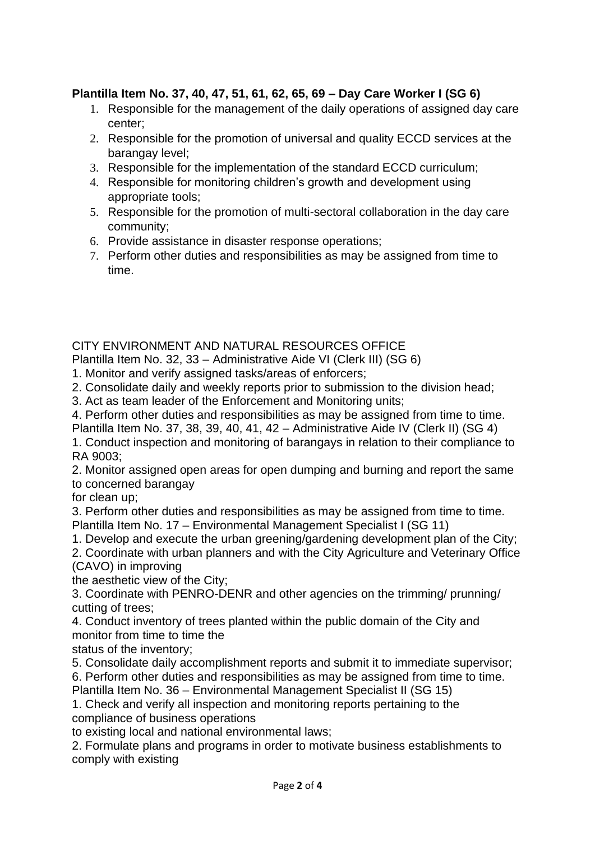## **Plantilla Item No. 37, 40, 47, 51, 61, 62, 65, 69 – Day Care Worker I (SG 6)**

- 1. Responsible for the management of the daily operations of assigned day care center;
- 2. Responsible for the promotion of universal and quality ECCD services at the barangay level;
- 3. Responsible for the implementation of the standard ECCD curriculum;
- 4. Responsible for monitoring children's growth and development using appropriate tools;
- 5. Responsible for the promotion of multi-sectoral collaboration in the day care community;
- 6. Provide assistance in disaster response operations;
- 7. Perform other duties and responsibilities as may be assigned from time to time.

## CITY ENVIRONMENT AND NATURAL RESOURCES OFFICE

Plantilla Item No. 32, 33 – Administrative Aide VI (Clerk III) (SG 6)

- 1. Monitor and verify assigned tasks/areas of enforcers;
- 2. Consolidate daily and weekly reports prior to submission to the division head;

3. Act as team leader of the Enforcement and Monitoring units;

4. Perform other duties and responsibilities as may be assigned from time to time.

Plantilla Item No. 37, 38, 39, 40, 41, 42 – Administrative Aide IV (Clerk II) (SG 4)

1. Conduct inspection and monitoring of barangays in relation to their compliance to RA 9003;

2. Monitor assigned open areas for open dumping and burning and report the same to concerned barangay

for clean up;

3. Perform other duties and responsibilities as may be assigned from time to time. Plantilla Item No. 17 – Environmental Management Specialist I (SG 11)

1. Develop and execute the urban greening/gardening development plan of the City;

2. Coordinate with urban planners and with the City Agriculture and Veterinary Office (CAVO) in improving

the aesthetic view of the City;

3. Coordinate with PENRO-DENR and other agencies on the trimming/ prunning/ cutting of trees;

4. Conduct inventory of trees planted within the public domain of the City and monitor from time to time the

status of the inventory;

5. Consolidate daily accomplishment reports and submit it to immediate supervisor;

6. Perform other duties and responsibilities as may be assigned from time to time.

Plantilla Item No. 36 – Environmental Management Specialist II (SG 15)

1. Check and verify all inspection and monitoring reports pertaining to the compliance of business operations

to existing local and national environmental laws;

2. Formulate plans and programs in order to motivate business establishments to comply with existing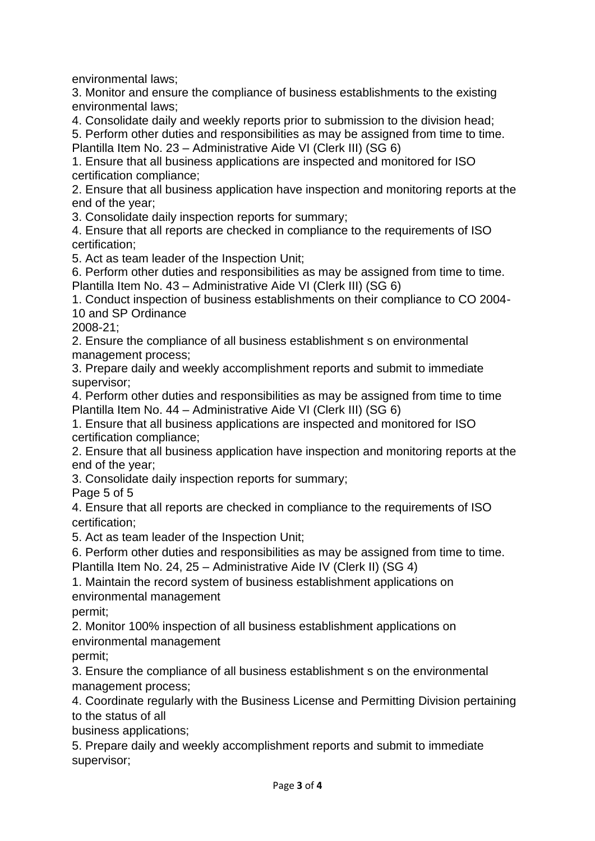environmental laws;

3. Monitor and ensure the compliance of business establishments to the existing environmental laws;

4. Consolidate daily and weekly reports prior to submission to the division head;

5. Perform other duties and responsibilities as may be assigned from time to time.

Plantilla Item No. 23 – Administrative Aide VI (Clerk III) (SG 6)

1. Ensure that all business applications are inspected and monitored for ISO certification compliance;

2. Ensure that all business application have inspection and monitoring reports at the end of the year;

3. Consolidate daily inspection reports for summary;

4. Ensure that all reports are checked in compliance to the requirements of ISO certification;

5. Act as team leader of the Inspection Unit;

6. Perform other duties and responsibilities as may be assigned from time to time. Plantilla Item No. 43 – Administrative Aide VI (Clerk III) (SG 6)

1. Conduct inspection of business establishments on their compliance to CO 2004- 10 and SP Ordinance

2008-21;

2. Ensure the compliance of all business establishment s on environmental management process;

3. Prepare daily and weekly accomplishment reports and submit to immediate supervisor;

4. Perform other duties and responsibilities as may be assigned from time to time Plantilla Item No. 44 – Administrative Aide VI (Clerk III) (SG 6)

1. Ensure that all business applications are inspected and monitored for ISO certification compliance;

2. Ensure that all business application have inspection and monitoring reports at the end of the year;

3. Consolidate daily inspection reports for summary;

Page 5 of 5

4. Ensure that all reports are checked in compliance to the requirements of ISO certification;

5. Act as team leader of the Inspection Unit;

6. Perform other duties and responsibilities as may be assigned from time to time.

Plantilla Item No. 24, 25 – Administrative Aide IV (Clerk II) (SG 4)

1. Maintain the record system of business establishment applications on environmental management

permit;

2. Monitor 100% inspection of all business establishment applications on environmental management

permit;

3. Ensure the compliance of all business establishment s on the environmental management process;

4. Coordinate regularly with the Business License and Permitting Division pertaining to the status of all

business applications;

5. Prepare daily and weekly accomplishment reports and submit to immediate supervisor;